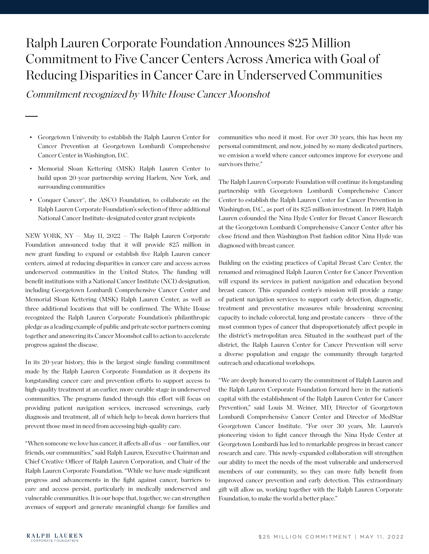# Ralph Lauren Corporate Foundation Announces \$25 Million Commitment to Five Cancer Centers Across America with Goal of Reducing Disparities in Cancer Care in Underserved Communities

Commitment recognized by White House Cancer Moonshot

- Georgetown University to establish the Ralph Lauren Center for Cancer Prevention at Georgetown Lombardi Comprehensive Cancer Center in Washington, D.C.
- Memorial Sloan Kettering (MSK) Ralph Lauren Center to build upon 20-year partnership serving Harlem, New York, and surrounding communities
- Conquer Cancer®, the ASCO Foundation, to collaborate on the Ralph Lauren Corporate Foundation's selection of three additional National Cancer Institute-designated center grant recipients

NEW YORK, NY — May 11, 2022 — The Ralph Lauren Corporate Foundation announced today that it will provide \$25 million in new grant funding to expand or establish five Ralph Lauren cancer centers, aimed at reducing disparities in cancer care and access across underserved communities in the United States. The funding will benefit institutions with a National Cancer Institute (NCI) designation, including Georgetown Lombardi Comprehensive Cancer Center and Memorial Sloan Kettering (MSK) Ralph Lauren Center, as well as three additional locations that will be confirmed. The White House recognized the Ralph Lauren Corporate Foundation's philanthropic pledge as a leading example of public and private sector partners coming together and answering its Cancer Moonshot call to action to accelerate progress against the disease.

In its 20-year history, this is the largest single funding commitment made by the Ralph Lauren Corporate Foundation as it deepens its longstanding cancer care and prevention efforts to support access to high-quality treatment at an earlier, more curable stage in underserved communities. The programs funded through this effort will focus on providing patient navigation services, increased screenings, early diagnosis and treatment, all of which help to break down barriers that prevent those most in need from accessing high-quality care.

"When someone we love has cancer, it affects all of us — our families, our friends, our communities," said Ralph Lauren, Executive Chairman and Chief Creative Officer of Ralph Lauren Corporation, and Chair of the Ralph Lauren Corporate Foundation. "While we have made significant progress and advancements in the fight against cancer, barriers to care and access persist, particularly in medically underserved and vulnerable communities. It is our hope that, together, we can strengthen avenues of support and generate meaningful change for families and

communities who need it most. For over 30 years, this has been my personal commitment, and now, joined by so many dedicated partners, we envision a world where cancer outcomes improve for everyone and survivors thrive."

The Ralph Lauren Corporate Foundation will continue its longstanding partnership with Georgetown Lombardi Comprehensive Cancer Center to establish the Ralph Lauren Center for Cancer Prevention in Washington, D.C., as part of its \$25 million investment. In 1989, Ralph Lauren cofounded the Nina Hyde Center for Breast Cancer Research at the Georgetown Lombardi Comprehensive Cancer Center after his close friend and then Washington Post fashion editor Nina Hyde was diagnosed with breast cancer.

Building on the existing practices of Capital Breast Care Center, the renamed and reimagined Ralph Lauren Center for Cancer Prevention will expand its services in patient navigation and education beyond breast cancer. This expanded center's mission will provide a range of patient navigation services to support early detection, diagnostic, treatment and preventative measures while broadening screening capacity to include colorectal, lung and prostate cancers — three of the most common types of cancer that disproportionately affect people in the district's metropolitan area. Situated in the southeast part of the district, the Ralph Lauren Center for Cancer Prevention will serve a diverse population and engage the community through targeted outreach and educational workshops.

"We are deeply honored to carry the commitment of Ralph Lauren and the Ralph Lauren Corporate Foundation forward here in the nation's capital with the establishment of the Ralph Lauren Center for Cancer Prevention," said Louis M. Weiner, MD, Director of Georgetown Lombardi Comprehensive Cancer Center and Director of MedStar Georgetown Cancer Institute. "For over 30 years, Mr. Lauren's pioneering vision to fight cancer through the Nina Hyde Center at Georgetown Lombardi has led to remarkable progress in breast cancer research and care. This newly-expanded collaboration will strengthen our ability to meet the needs of the most vulnerable and underserved members of our community, so they can more fully benefit from improved cancer prevention and early detection. This extraordinary gift will allow us, working together with the Ralph Lauren Corporate Foundation, to make the world a better place."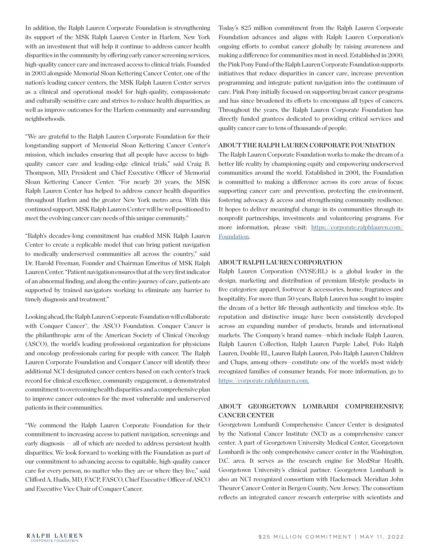In addition, the Ralph Lauren Corporate Foundation is strengthening its support of the MSK Ralph Lauren Center in Harlem, New York with an investment that will help it continue to address cancer health disparities in the community by offering early cancer screening services, high-quality cancer care and increased access to clinical trials. Founded in 2003 alongside Memorial Sloan Kettering Cancer Center, one of the nation's leading cancer centers, the MSK Ralph Lauren Center serves as a clinical and operational model for high-quality, compassionate and culturally-sensitive care and strives to reduce health disparities, as well as improve outcomes for the Harlem community and surrounding neighborhoods.

"We are grateful to the Ralph Lauren Corporate Foundation for their longstanding support of Memorial Sloan Kettering Cancer Center's mission, which includes ensuring that all people have access to highquality cancer care and leading-edge clinical trials," said Craig B. Thompson, MD, President and Chief Executive Officer of Memorial Sloan Kettering Cancer Center. "For nearly 20 years, the MSK Ralph Lauren Center has helped to address cancer health disparities throughout Harlem and the greater New York metro area. With this continued support, MSK Ralph Lauren Center will be well positioned to meet the evolving cancer care needs of this unique community."

"Ralph's decades-long commitment has enabled MSK Ralph Lauren Center to create a replicable model that can bring patient navigation to medically underserved communities all across the country," said Dr. Harold Freeman, Founder and Chairman Emeritus of MSK Ralph Lauren Center. "Patient navigation ensures that at the very first indicator of an abnormal finding, and along the entire journey of care, patients are supported by trained navigators working to eliminate any barrier to timely diagnosis and treatment."

Looking ahead, the Ralph Lauren Corporate Foundation will collaborate with Conquer Cancer®, the ASCO Foundation. Conquer Cancer is the philanthropic arm of the American Society of Clinical Oncology (ASCO), the world's leading professional organization for physicians and oncology professionals caring for people with cancer. The Ralph Lauren Corporate Foundation and Conquer Cancer will identify three additional NCI-designated cancer centers based on each center's track record for clinical excellence, community engagement, a demonstrated commitment to overcoming health disparities and a comprehensive plan to improve cancer outcomes for the most vulnerable and underserved patients in their communities.

"We commend the Ralph Lauren Corporate Foundation for their commitment to increasing access to patient navigation, screenings and early diagnosis — all of which are needed to address persistent health disparities. We look forward to working with the Foundation as part of our commitment to advancing access to equitable, high-quality cancer care for every person, no matter who they are or where they live," said Clifford A. Hudis, MD, FACP, FASCO, Chief Executive Officer of ASCO and Executive Vice Chair of Conquer Cancer.

Today's \$25 million commitment from the Ralph Lauren Corporate Foundation advances and aligns with Ralph Lauren Corporation's ongoing efforts to combat cancer globally by raising awareness and making a difference for communities most in need. Established in 2000, the Pink Pony Fund of the Ralph Lauren Corporate Foundation supports initiatives that reduce disparities in cancer care, increase prevention programming and integrate patient navigation into the continuum of care. Pink Pony initially focused on supporting breast cancer programs and has since broadened its efforts to encompass all types of cancers. Throughout the years, the Ralph Lauren Corporate Foundation has directly funded grantees dedicated to providing critical services and quality cancer care to tens of thousands of people.

#### ABOUT THE RALPH LAUREN CORPORATE FOUNDATION

The Ralph Lauren Corporate Foundation works to make the dream of a better life reality by championing equity and empowering underserved communities around the world. Established in 2001, the Foundation is committed to making a difference across its core areas of focus: supporting cancer care and prevention, protecting the environment, fostering advocacy & access and strengthening community resilience. It hopes to deliver meaningful change in its communities through its nonprofit partnerships, investments and volunteering programs. For more information, please visit: [https://corporate.ralphlauren.com/](https://corporate.ralphlauren.com/Foundation) [Foundation](https://corporate.ralphlauren.com/Foundation).

## ABOUT RALPH LAUREN CORPORATION

Ralph Lauren Corporation (NYSE:RL) is a global leader in the design, marketing and distribution of premium lifestyle products in five categories: apparel, footwear & accessories, home, fragrances and hospitality. For more than 50 years, Ralph Lauren has sought to inspire the dream of a better life through authenticity and timeless style. Its reputation and distinctive image have been consistently developed across an expanding number of products, brands and international markets. The Company's brand names—which include Ralph Lauren, Ralph Lauren Collection, Ralph Lauren Purple Label, Polo Ralph Lauren, Double RL, Lauren Ralph Lauren, Polo Ralph Lauren Children and Chaps, among others—constitute one of the world's most widely recognized families of consumer brands. For more information, go to <https://corporate.ralphlauren.com>.

# ABOUT GEORGETOWN LOMBARDI COMPREHENSIVE CANCER CENTER

Georgetown Lombardi Comprehensive Cancer Center is designated by the National Cancer Institute (NCI) as a comprehensive cancer center. A part of Georgetown University Medical Center, Georgetown Lombardi is the only comprehensive cancer center in the Washington, D.C. area. It serves as the research engine for MedStar Health, Georgetown University's clinical partner. Georgetown Lombardi is also an NCI recognized consortium with Hackensack Meridian John Theurer Cancer Center in Bergen County, New Jersey. The consortium reflects an integrated cancer research enterprise with scientists and